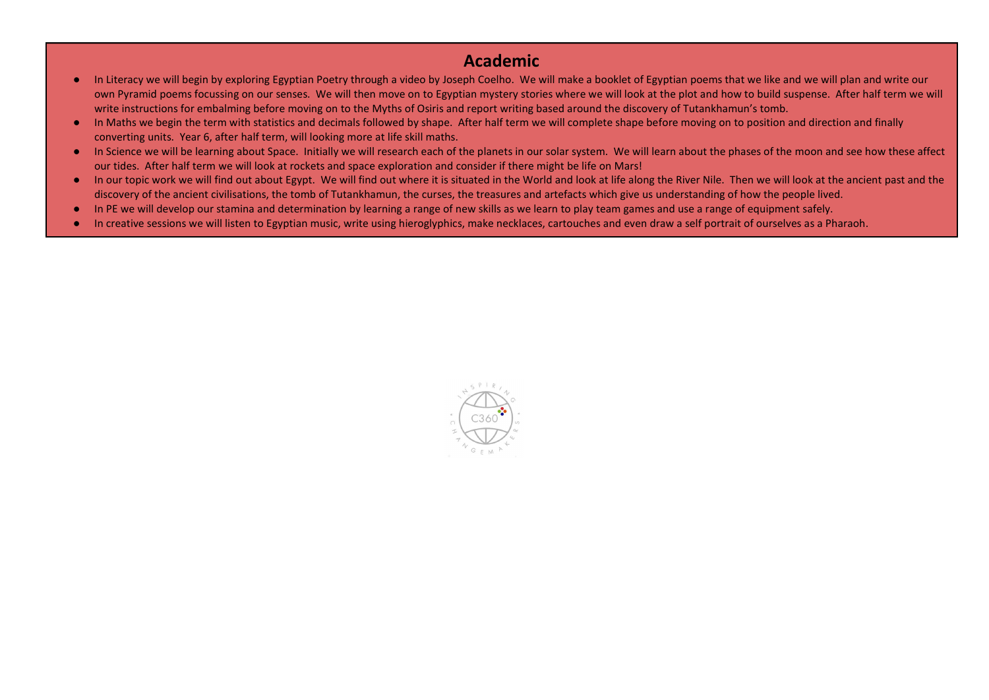## Academic

- In Literacy we will begin by exploring Egyptian Poetry through a video by Joseph Coelho. We will make a booklet of Egyptian poems that we like and we will plan and write our own Pyramid poems focussing on our senses. We will then move on to Egyptian mystery stories where we will look at the plot and how to build suspense. After half term we will write instructions for embalming before moving on to the Myths of Osiris and report writing based around the discovery of Tutankhamun's tomb.
- In Maths we begin the term with statistics and decimals followed by shape. After half term we will complete shape before moving on to position and direction and finally converting units. Year 6, after half term, will looking more at life skill maths.
- In Science we will be learning about Space. Initially we will research each of the planets in our solar system. We will learn about the phases of the moon and see how these affect our tides. After half term we will look at rockets and space exploration and consider if there might be life on Mars!
- In our topic work we will find out about Egypt. We will find out where it is situated in the World and look at life along the River Nile. Then we will look at the ancient past and the discovery of the ancient civilisations, the tomb of Tutankhamun, the curses, the treasures and artefacts which give us understanding of how the people lived.
- In PE we will develop our stamina and determination by learning a range of new skills as we learn to play team games and use a range of equipment safely.
- In creative sessions we will listen to Egyptian music, write using hieroglyphics, make necklaces, cartouches and even draw a self portrait of ourselves as a Pharaoh.